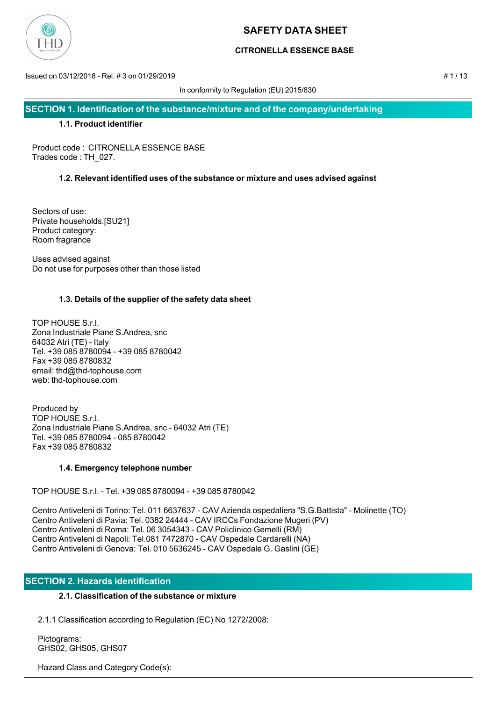

## **CITRONELLA ESSENCE BASE**

Issued on 03/12/2018 - Rel. # 3 on 01/29/2019 # 1 / 13

In conformity to Regulation (EU) 2015/830

**SECTION 1. Identification of the substance/mixture and of the company/undertaking**

## **1.1. Product identifier**

Product code : CITRONELLA ESSENCE BASE Trades code : TH\_027.

## **1.2. Relevant identified uses of the substance or mixture and uses advised against**

Sectors of use: Private households.[SU21] Product category: Room fragrance

Uses advised against Do not use for purposes other than those listed

## **1.3. Details of the supplier of the safety data sheet**

TOP HOUSE S.r.l. Zona Industriale Piane S.Andrea, snc 64032 Atri (TE) - Italy Tel. +39 085 8780094 - +39 085 8780042 Fax +39 085 8780832 email: thd@thd-tophouse.com web: thd-tophouse.com

Produced by TOP HOUSE S.r.l. Zona Industriale Piane S.Andrea, snc - 64032 Atri (TE) Tel. +39 085 8780094 - 085 8780042 Fax +39 085 8780832

## **1.4. Emergency telephone number**

TOP HOUSE S.r.l. - Tel. +39 085 8780094 - +39 085 8780042

Centro Antiveleni di Torino: Tel. 011 6637637 - CAV Azienda ospedaliera "S.G.Battista" - Molinette (TO) Centro Antiveleni di Pavia: Tel. 0382 24444 - CAV IRCCs Fondazione Mugeri (PV) Centro Antiveleni di Roma: Tel. 06 3054343 - CAV Policlinico Gemelli (RM) Centro Antiveleni di Napoli: Tel.081 7472870 - CAV Ospedale Cardarelli (NA) Centro Antiveleni di Genova: Tel. 010 5636245 - CAV Ospedale G. Gaslini (GE)

## **SECTION 2. Hazards identification**

## **2.1. Classification of the substance or mixture**

2.1.1 Classification according to Regulation (EC) No 1272/2008:

 Pictograms: GHS02, GHS05, GHS07

Hazard Class and Category Code(s):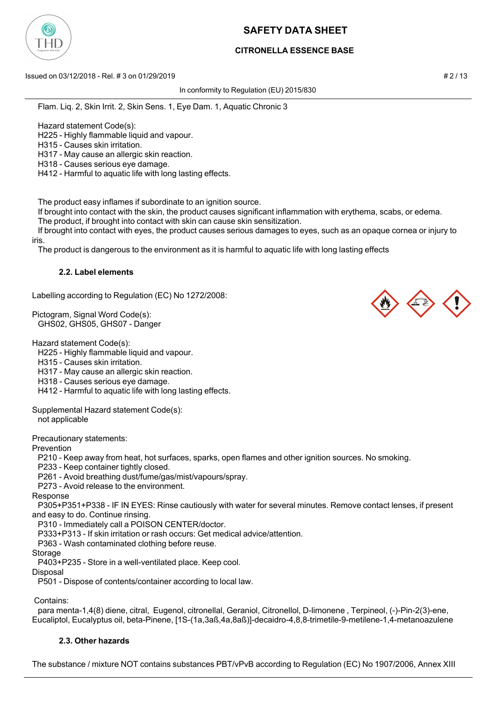

## **CITRONELLA ESSENCE BASE**

Issued on 03/12/2018 - Rel. # 3 on 01/29/2019 **# 2 / 13** and a set of the set of the set of the set of the set of the set of the set of the set of the set of the set of the set of the set of the set of the set of the set o

In conformity to Regulation (EU) 2015/830

Flam. Liq. 2, Skin Irrit. 2, Skin Sens. 1, Eye Dam. 1, Aquatic Chronic 3

Hazard statement Code(s):

H225 - Highly flammable liquid and vapour.

H315 - Causes skin irritation.

H317 - May cause an allergic skin reaction.

H318 - Causes serious eye damage.

H412 - Harmful to aquatic life with long lasting effects.

The product easy inflames if subordinate to an ignition source.

If brought into contact with the skin, the product causes significant inflammation with erythema, scabs, or edema.

The product, if brought into contact with skin can cause skin sensitization.

 If brought into contact with eyes, the product causes serious damages to eyes, such as an opaque cornea or injury to iris.

The product is dangerous to the environment as it is harmful to aquatic life with long lasting effects

#### **2.2. Label elements**

Labelling according to Regulation (EC) No 1272/2008:

Pictogram, Signal Word Code(s): GHS02, GHS05, GHS07 - Danger

Hazard statement Code(s):

H225 - Highly flammable liquid and vapour.

H315 - Causes skin irritation.

H317 - May cause an allergic skin reaction.

H318 - Causes serious eye damage.

H412 - Harmful to aquatic life with long lasting effects.

Supplemental Hazard statement Code(s):

not applicable

Precautionary statements:

Prevention

P210 - Keep away from heat, hot surfaces, sparks, open flames and other ignition sources. No smoking.

P233 - Keep container tightly closed.

P261 - Avoid breathing dust/fume/gas/mist/vapours/spray.

P273 - Avoid release to the environment.

Response

 P305+P351+P338 - IF IN EYES: Rinse cautiously with water for several minutes. Remove contact lenses, if present and easy to do. Continue rinsing.

P310 - Immediately call a POISON CENTER/doctor.

P333+P313 - If skin irritation or rash occurs: Get medical advice/attention.

P363 - Wash contaminated clothing before reuse.

Storage

P403+P235 - Store in a well-ventilated place. Keep cool.

Disposal

P501 - Dispose of contents/container according to local law.

Contains:

 para menta-1,4(8) diene, citral, Eugenol, citronellal, Geraniol, Citronellol, D-limonene , Terpineol, (-)-Pin-2(3)-ene, Eucaliptol, Eucalyptus oil, beta-Pinene, [1S-(1a,3aß,4a,8aß)]-decaidro-4,8,8-trimetile-9-metilene-1,4-metanoazulene

# **2.3. Other hazards**

The substance / mixture NOT contains substances PBT/vPvB according to Regulation (EC) No 1907/2006, Annex XIII

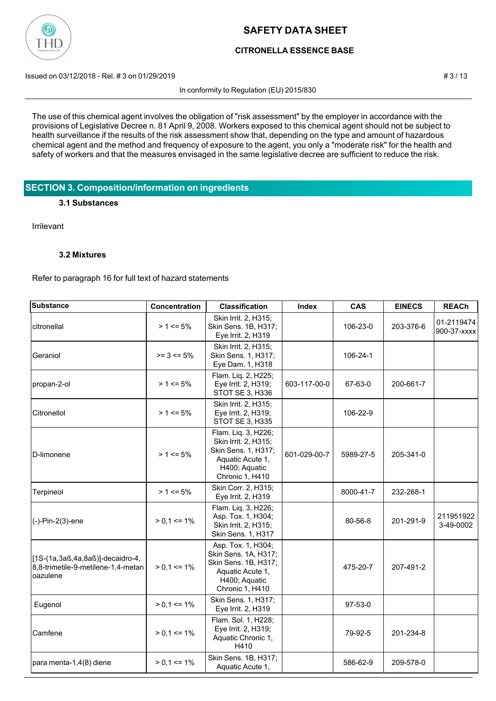

## **CITRONELLA ESSENCE BASE**

Issued on 03/12/2018 - Rel. # 3 on 01/29/2019 **# 3/13** 

In conformity to Regulation (EU) 2015/830

The use of this chemical agent involves the obligation of "risk assessment" by the employer in accordance with the provisions of Legislative Decree n. 81 April 9, 2008. Workers exposed to this chemical agent should not be subject to health surveillance if the results of the risk assessment show that, depending on the type and amount of hazardous chemical agent and the method and frequency of exposure to the agent, you only a "moderate risk" for the health and safety of workers and that the measures envisaged in the same legislative decree are sufficient to reduce the risk.

## **SECTION 3. Composition/information on ingredients**

#### **3.1 Substances**

Irrilevant

### **3.2 Mixtures**

Refer to paragraph 16 for full text of hazard statements

| <b>Substance</b>                                                                   | Concentration   | <b>Classification</b>                                                                                                      | Index        | <b>CAS</b> | <b>EINECS</b> | <b>REACh</b>              |
|------------------------------------------------------------------------------------|-----------------|----------------------------------------------------------------------------------------------------------------------------|--------------|------------|---------------|---------------------------|
| citronellal                                                                        | $> 1 \le 5\%$   | Skin Irrit. 2, H315;<br>Skin Sens. 1B, H317;<br>Eye Irrit. 2, H319                                                         |              | 106-23-0   | 203-376-6     | 01-2119474<br>900-37-xxxx |
| Geraniol                                                                           | $>= 3 == 5%$    | Skin Irrit. 2, H315;<br>Skin Sens. 1, H317;<br>Eye Dam. 1, H318                                                            |              | 106-24-1   |               |                           |
| propan-2-ol                                                                        | $> 1 \le 5\%$   | Flam. Liq. 2, H225;<br>Eye Irrit. 2, H319;<br>STOT SE 3, H336                                                              | 603-117-00-0 | 67-63-0    | 200-661-7     |                           |
| Citronellol                                                                        | $> 1 \le 5\%$   | Skin Irrit. 2, H315;<br>Eye Irrit. 2, H319;<br>STOT SE 3, H335                                                             |              | 106-22-9   |               |                           |
| D-limonene                                                                         | $> 1 \le 5\%$   | Flam. Liq. 3, H226;<br>Skin Irrit. 2, H315;<br>Skin Sens. 1, H317;<br>Aquatic Acute 1,<br>H400; Aquatic<br>Chronic 1, H410 | 601-029-00-7 | 5989-27-5  | 205-341-0     |                           |
| Terpineol                                                                          | $> 1 \le 5\%$   | Skin Corr. 2, H315;<br>Eye Irrit. 2, H319                                                                                  |              | 8000-41-7  | 232-268-1     |                           |
| (-)-Pin-2(3)-ene                                                                   | $> 0.1 \le 1\%$ | Flam. Liq. 3, H226;<br>Asp. Tox. 1, H304;<br>Skin Irrit. 2, H315;<br>Skin Sens. 1, H317                                    |              | 80-56-8    | 201-291-9     | 211951922<br>3-49-0002    |
| [1S-(1a,3aß,4a,8aß)]-decaidro-4,<br>8,8-trimetile-9-metilene-1,4-metan<br>oazulene | $> 0.1 \le 1\%$ | Asp. Tox. 1, H304;<br>Skin Sens. 1A, H317;<br>Skin Sens. 1B, H317;<br>Aquatic Acute 1,<br>H400; Aquatic<br>Chronic 1, H410 |              | 475-20-7   | 207-491-2     |                           |
| Eugenol                                                                            | $> 0.1 \le 1\%$ | Skin Sens. 1, H317;<br>Eye Irrit. 2, H319                                                                                  |              | $97-53-0$  |               |                           |
| Camfene                                                                            | $> 0.1 \le 1\%$ | Flam. Sol. 1, H228;<br>Eye Irrit. 2, H319;<br>Aquatic Chronic 1,<br>H410                                                   |              | 79-92-5    | 201-234-8     |                           |
| para menta-1,4(8) diene                                                            | $> 0.1 \le 1\%$ | Skin Sens. 1B, H317;<br>Aquatic Acute 1,                                                                                   |              | 586-62-9   | 209-578-0     |                           |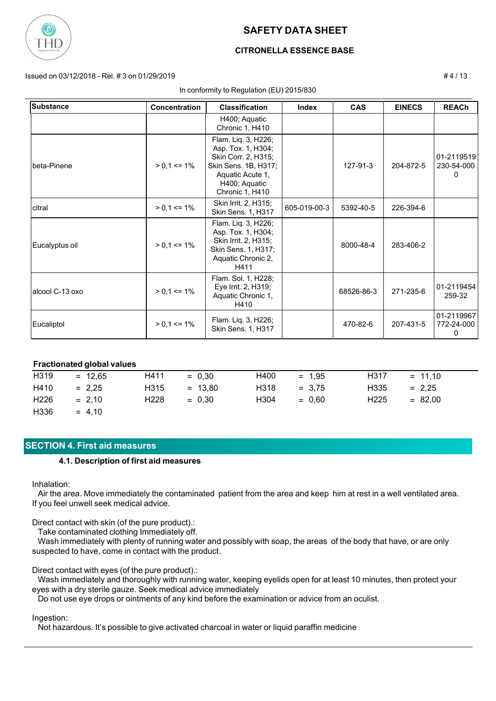

## **CITRONELLA ESSENCE BASE**

Issued on 03/12/2018 - Rel. # 3 on 01/29/2019 # 4 / 13

#### In conformity to Regulation (EU) 2015/830

**Substance Concentration Classification Index CAS EINECS REACh** H400; Aquatic Chronic 1, H410 beta-Pinene | > 0,1 <= 1% | Skin Sens. 1B, H317; | 127-91-3 | 204-872-5 01-2119519 230-54-000  $\Omega$ Flam. Liq. 3, H226; Asp. Tox. 1, H304; Skin Corr. 2, H315; Aquatic Acute 1, H400; Aquatic Chronic 1, H410 citral > 0,1 <= 1% 605-019-00-3 5392-40-5 226-394-6 Skin Irrit. 2, H315; Skin Sens. 1, H317 Eucalyptus oil > 0,1 <= 1% 8000-48-4 283-406-2 Skin Sens. 1, H317; Flam. Liq. 3, H226; Asp. Tox. 1, H304; Skin Irrit. 2, H315; Aquatic Chronic 2, H411 alcool C-13 oxo | > 0,1 <= 1% | Eye Irrit. 2, H319; | | 68526-86-3 | 271-235-6 |<sup>01</sup>-2119454<br> | Aguetic Chronic 1 68526-86-3 | 271-235-6 |<sup>01</sup>-250 32 259-32 Flam. Sol. 1, H228; Eye Irrit. 2, H319; Aquatic Chronic 1, H410 Eucaliptol  $| > 0.1$  <= 1%  $|\sin \sin \sin \theta$  +  $\sin \theta$  +  $\sin \theta$  +  $\sin \theta$  +  $\sin \theta$  +  $\sin \theta$  +  $\sin \theta$  +  $\sin \theta$  +  $\sin \theta$  +  $\sin \theta$  +  $\sin \theta$  +  $\sin \theta$  +  $\sin \theta$  +  $\sin \theta$  +  $\sin \theta$  +  $\sin \theta$  +  $\sin \theta$  +  $\sin \theta$  +  $\sin \theta$  +  $\sin \theta$  +  $\sin \theta$  +  $\$ 01-2119967 772-24-000 0 Flam. Liq. 3, H226; Skin Sens. 1, H317

### **Fractionated global values**

| H319 | $= 12,65$ | H411             | $= 0.30$  | H400 | $= 1.95$ | H317             | $= 11.10$ |
|------|-----------|------------------|-----------|------|----------|------------------|-----------|
| H410 | $= 2,25$  | H315             | $= 13.80$ | H318 | $= 3.75$ | H335             | $= 2.25$  |
| H226 | $= 2.10$  | H <sub>228</sub> | $= 0.30$  | H304 | $= 0.60$ | H <sub>225</sub> | $= 82.00$ |
| H336 | $= 4.10$  |                  |           |      |          |                  |           |

### **SECTION 4. First aid measures**

#### **4.1. Description of first aid measures**

Inhalation:

 Air the area. Move immediately the contaminated patient from the area and keep him at rest in a well ventilated area. If you feel unwell seek medical advice.

Direct contact with skin (of the pure product).:

Take contaminated clothing Immediately off.

 Wash immediately with plenty of running water and possibly with soap, the areas of the body that have, or are only suspected to have, come in contact with the product.

Direct contact with eyes (of the pure product).:

 Wash immediately and thoroughly with running water, keeping eyelids open for at least 10 minutes, then protect your eyes with a dry sterile gauze. Seek medical advice immediately

Do not use eye drops or ointments of any kind before the examination or advice from an oculist.

Ingestion:

Not hazardous. It's possible to give activated charcoal in water or liquid paraffin medicine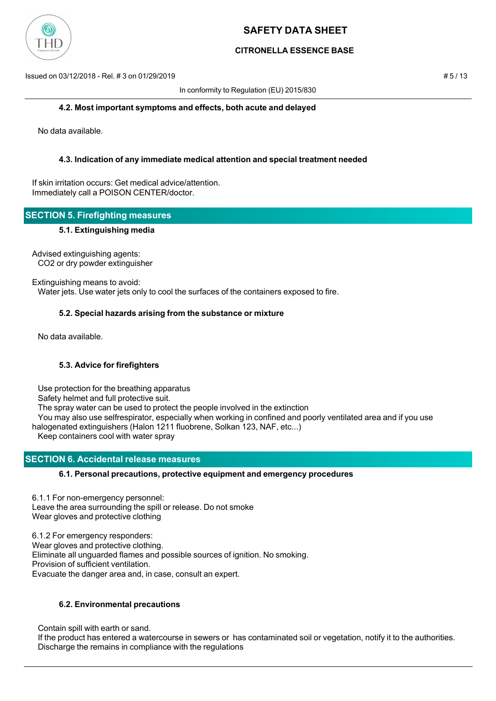

## **CITRONELLA ESSENCE BASE**

Issued on 03/12/2018 - Rel. # 3 on 01/29/2019 # 5 / 13

In conformity to Regulation (EU) 2015/830

#### **4.2. Most important symptoms and effects, both acute and delayed**

No data available.

### **4.3. Indication of any immediate medical attention and special treatment needed**

If skin irritation occurs: Get medical advice/attention. Immediately call a POISON CENTER/doctor.

## **SECTION 5. Firefighting measures**

### **5.1. Extinguishing media**

Advised extinguishing agents: CO2 or dry powder extinguisher

Extinguishing means to avoid: Water jets. Use water jets only to cool the surfaces of the containers exposed to fire.

## **5.2. Special hazards arising from the substance or mixture**

No data available.

### **5.3. Advice for firefighters**

Use protection for the breathing apparatus

Safety helmet and full protective suit.

The spray water can be used to protect the people involved in the extinction

You may also use selfrespirator, especially when working in confined and poorly ventilated area and if you use

halogenated extinguishers (Halon 1211 fluobrene, Solkan 123, NAF, etc...)

Keep containers cool with water spray

## **SECTION 6. Accidental release measures**

### **6.1. Personal precautions, protective equipment and emergency procedures**

6.1.1 For non-emergency personnel: Leave the area surrounding the spill or release. Do not smoke Wear gloves and protective clothing

6.1.2 For emergency responders: Wear gloves and protective clothing. Eliminate all unguarded flames and possible sources of ignition. No smoking. Provision of sufficient ventilation. Evacuate the danger area and, in case, consult an expert.

### **6.2. Environmental precautions**

Contain spill with earth or sand.

 If the product has entered a watercourse in sewers or has contaminated soil or vegetation, notify it to the authorities. Discharge the remains in compliance with the regulations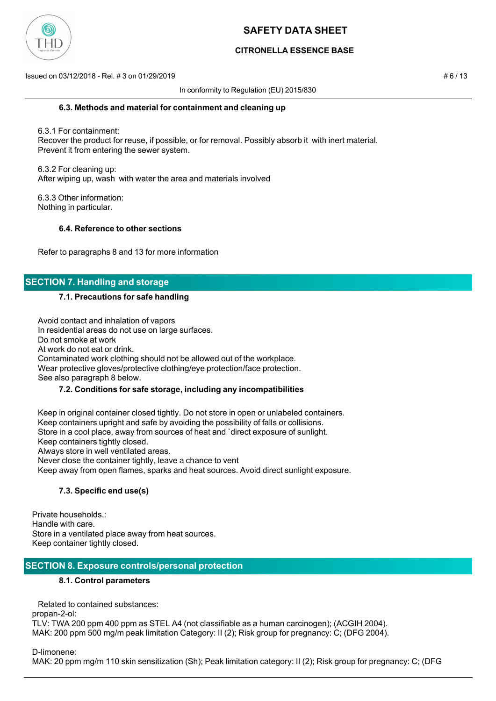

## **CITRONELLA ESSENCE BASE**

Issued on 03/12/2018 - Rel. # 3 on 01/29/2019 # 6 / 13

In conformity to Regulation (EU) 2015/830

#### **6.3. Methods and material for containment and cleaning up**

 6.3.1 For containment: Recover the product for reuse, if possible, or for removal. Possibly absorb it with inert material. Prevent it from entering the sewer system.

 6.3.2 For cleaning up: After wiping up, wash with water the area and materials involved

 6.3.3 Other information: Nothing in particular.

### **6.4. Reference to other sections**

Refer to paragraphs 8 and 13 for more information

## **SECTION 7. Handling and storage**

### **7.1. Precautions for safe handling**

 Avoid contact and inhalation of vapors In residential areas do not use on large surfaces. Do not smoke at work At work do not eat or drink. Contaminated work clothing should not be allowed out of the workplace. Wear protective gloves/protective clothing/eye protection/face protection. See also paragraph 8 below.

### **7.2. Conditions for safe storage, including any incompatibilities**

 Keep in original container closed tightly. Do not store in open or unlabeled containers. Keep containers upright and safe by avoiding the possibility of falls or collisions. Store in a cool place, away from sources of heat and `direct exposure of sunlight. Keep containers tightly closed. Always store in well ventilated areas. Never close the container tightly, leave a chance to vent Keep away from open flames, sparks and heat sources. Avoid direct sunlight exposure.

### **7.3. Specific end use(s)**

Private households.: Handle with care. Store in a ventilated place away from heat sources. Keep container tightly closed.

## **SECTION 8. Exposure controls/personal protection**

### **8.1. Control parameters**

Related to contained substances:

propan-2-ol:

TLV: TWA 200 ppm 400 ppm as STEL A4 (not classifiable as a human carcinogen); (ACGIH 2004). MAK: 200 ppm 500 mg/m peak limitation Category: II (2); Risk group for pregnancy: C; (DFG 2004).

D-limonene:

MAK: 20 ppm mg/m 110 skin sensitization (Sh); Peak limitation category: II (2); Risk group for pregnancy: C; (DFG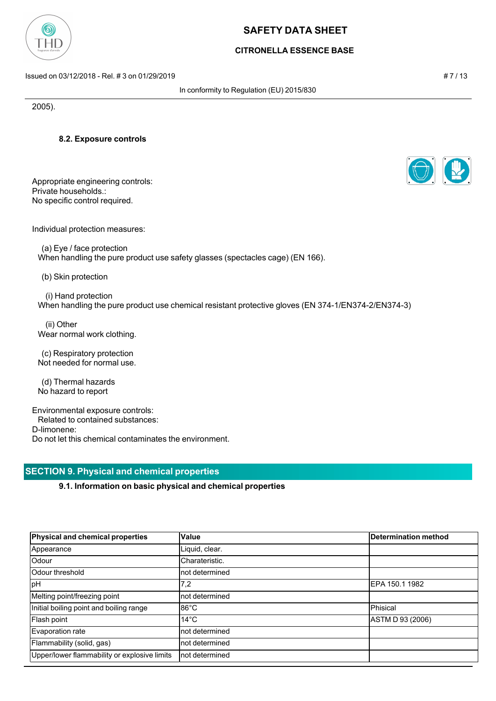

## **CITRONELLA ESSENCE BASE**

Issued on 03/12/2018 - Rel. # 3 on 01/29/2019 # 7 / 13

In conformity to Regulation (EU) 2015/830

2005).

**8.2. Exposure controls**

Appropriate engineering controls: Private households.: No specific control required.

Individual protection measures:

 (a) Eye / face protection When handling the pure product use safety glasses (spectacles cage) (EN 166).

(b) Skin protection

 (i) Hand protection When handling the pure product use chemical resistant protective gloves (EN 374-1/EN374-2/EN374-3)

 (ii) Other Wear normal work clothing.

 (c) Respiratory protection Not needed for normal use.

 (d) Thermal hazards No hazard to report

Environmental exposure controls: Related to contained substances: D-limonene: Do not let this chemical contaminates the environment.

# **SECTION 9. Physical and chemical properties**

**9.1. Information on basic physical and chemical properties**

|                 | Determination method |
|-----------------|----------------------|
| Liquid, clear.  |                      |
| Charateristic.  |                      |
| not determined  |                      |
| 7,2             | IEPA 150.1 1982      |
| Inot determined |                      |
| $86^{\circ}$ C  | <b>Phisical</b>      |
| $14^{\circ}$ C  | ASTM D 93 (2006)     |
| not determined  |                      |
| not determined  |                      |
| Inot determined |                      |
|                 | Value                |



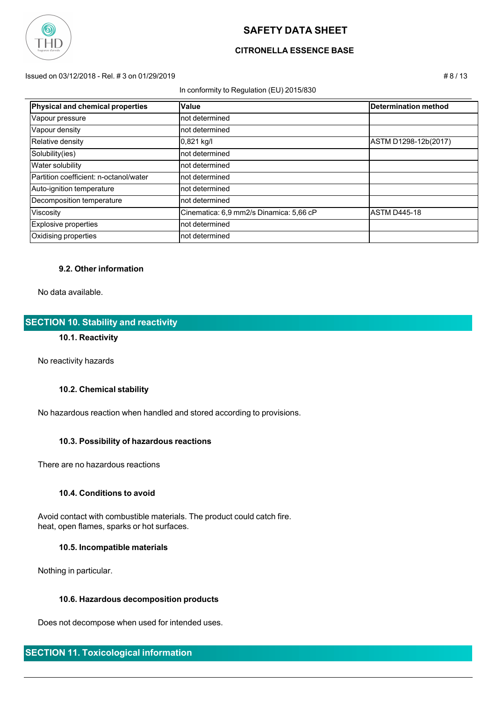

## **CITRONELLA ESSENCE BASE**

Issued on 03/12/2018 - Rel. # 3 on 01/29/2019 # 8 / 13

In conformity to Regulation (EU) 2015/830

| Physical and chemical properties       | Value                                   | Determination method |
|----------------------------------------|-----------------------------------------|----------------------|
| Vapour pressure                        | not determined                          |                      |
| Vapour density                         | not determined                          |                      |
| Relative density                       | $0,821$ kg/l                            | ASTM D1298-12b(2017) |
| Solubility(ies)                        | not determined                          |                      |
| <b>Water solubility</b>                | not determined                          |                      |
| Partition coefficient: n-octanol/water | not determined                          |                      |
| Auto-ignition temperature              | not determined                          |                      |
| Decomposition temperature              | not determined                          |                      |
| Viscosity                              | Cinematica: 6,9 mm2/s Dinamica: 5,66 cP | <b>ASTM D445-18</b>  |
| Explosive properties                   | not determined                          |                      |
| Oxidising properties                   | not determined                          |                      |
|                                        |                                         |                      |

### **9.2. Other information**

No data available.

## **SECTION 10. Stability and reactivity**

## **10.1. Reactivity**

No reactivity hazards

### **10.2. Chemical stability**

No hazardous reaction when handled and stored according to provisions.

### **10.3. Possibility of hazardous reactions**

There are no hazardous reactions

#### **10.4. Conditions to avoid**

 Avoid contact with combustible materials. The product could catch fire. heat, open flames, sparks or hot surfaces.

#### **10.5. Incompatible materials**

Nothing in particular.

### **10.6. Hazardous decomposition products**

Does not decompose when used for intended uses.

## **SECTION 11. Toxicological information**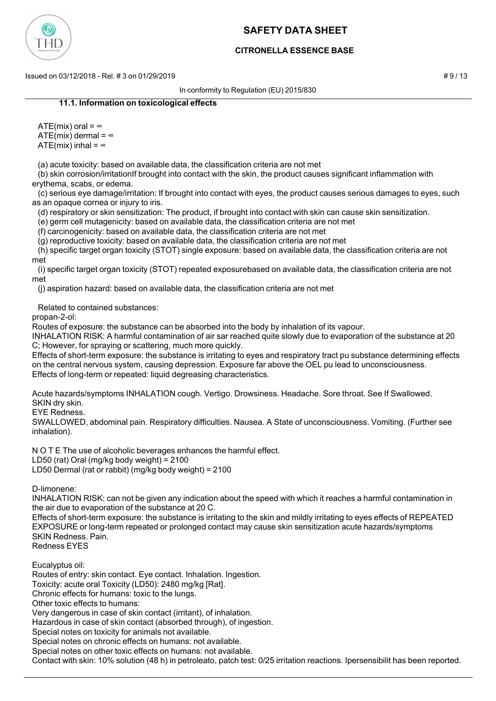

## **CITRONELLA ESSENCE BASE**

 $\pm$  9/13 Issued on 03/12/2018 - Rel. # 3 on 01/29/2019

In conformity to Regulation (EU) 2015/830

### **11.1. Information on toxicological effects**

ATE(mix) oral =  $\infty$ ATE(mix) dermal =  $\infty$ ATE(mix) inhal =  $\infty$ 

(a) acute toxicity: based on available data, the classification criteria are not met

 (b) skin corrosion/irritationIf brought into contact with the skin, the product causes significant inflammation with erythema, scabs, or edema.

 (c) serious eye damage/irritation: If brought into contact with eyes, the product causes serious damages to eyes, such as an opaque cornea or injury to iris.

(d) respiratory or skin sensitization: The product, if brought into contact with skin can cause skin sensitization.

(e) germ cell mutagenicity: based on available data, the classification criteria are not met

(f) carcinogenicity: based on available data, the classification criteria are not met

(g) reproductive toxicity: based on available data, the classification criteria are not met

 (h) specific target organ toxicity (STOT) single exposure: based on available data, the classification criteria are not met

 (i) specific target organ toxicity (STOT) repeated exposurebased on available data, the classification criteria are not met

(j) aspiration hazard: based on available data, the classification criteria are not met

Related to contained substances:

propan-2-ol:

Routes of exposure: the substance can be absorbed into the body by inhalation of its vapour.

INHALATION RISK: A harmful contamination of air sar reached quite slowly due to evaporation of the substance at 20 C; However, for spraying or scattering, much more quickly.

Effects of short-term exposure: the substance is irritating to eyes and respiratory tract pu substance determining effects on the central nervous system, causing depression. Exposure far above the OEL pu lead to unconsciousness. Effects of long-term or repeated: liquid degreasing characteristics.

Acute hazards/symptoms INHALATION cough. Vertigo. Drowsiness. Headache. Sore throat. See If Swallowed. SKIN dry skin.

EYE Redness.

SWALLOWED, abdominal pain. Respiratory difficulties. Nausea. A State of unconsciousness. Vomiting. (Further see inhalation).

N O T E The use of alcoholic beverages enhances the harmful effect. LD50 (rat) Oral (mg/kg body weight) = 2100 LD50 Dermal (rat or rabbit) (mg/kg body weight) = 2100

D-limonene:

INHALATION RISK: can not be given any indication about the speed with which it reaches a harmful contamination in the air due to evaporation of the substance at 20 C.

Effects of short-term exposure: the substance is irritating to the skin and mildly irritating to eyes effects of REPEATED EXPOSURE or long-term repeated or prolonged contact may cause skin sensitization acute hazards/symptoms SKIN Redness. Pain. Redness EYES

Eucalyptus oil:

Routes of entry: skin contact. Eye contact. Inhalation. Ingestion.

Toxicity: acute oral Toxicity (LD50): 2480 mg/kg [Rat].

Chronic effects for humans: toxic to the lungs.

Other toxic effects to humans:

Very dangerous in case of skin contact (irritant), of inhalation.

Hazardous in case of skin contact (absorbed through), of ingestion.

Special notes on toxicity for animals not available.

Special notes on chronic effects on humans: not available.

Special notes on other toxic effects on humans: not available.

Contact with skin: 10% solution (48 h) in petroleato, patch test: 0/25 irritation reactions. Ipersensibilit has been reported.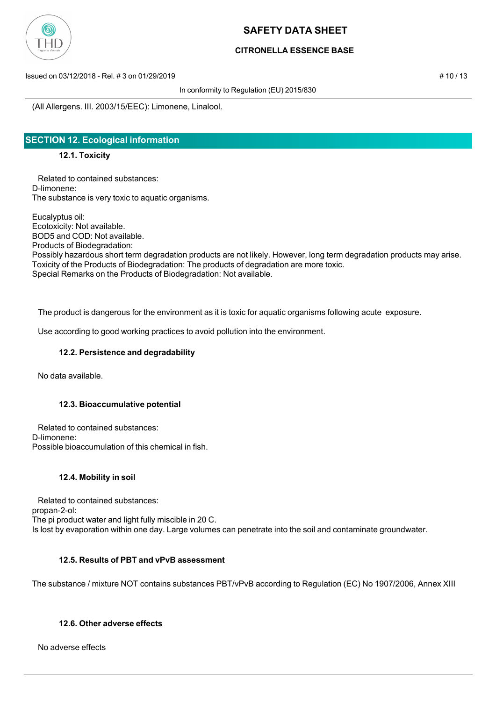

## **CITRONELLA ESSENCE BASE**

Issued on 03/12/2018 - Rel. # 3 on 01/29/2019 # 10 / 13

In conformity to Regulation (EU) 2015/830

(All Allergens. III. 2003/15/EEC): Limonene, Linalool.

## **SECTION 12. Ecological information**

**12.1. Toxicity**

 Related to contained substances: D-limonene: The substance is very toxic to aquatic organisms.

Eucalyptus oil: Ecotoxicity: Not available. BOD5 and COD: Not available. Products of Biodegradation: Possibly hazardous short term degradation products are not likely. However, long term degradation products may arise. Toxicity of the Products of Biodegradation: The products of degradation are more toxic. Special Remarks on the Products of Biodegradation: Not available.

The product is dangerous for the environment as it is toxic for aquatic organisms following acute exposure.

Use according to good working practices to avoid pollution into the environment.

### **12.2. Persistence and degradability**

No data available.

### **12.3. Bioaccumulative potential**

 Related to contained substances: D-limonene: Possible bioaccumulation of this chemical in fish.

### **12.4. Mobility in soil**

 Related to contained substances: propan-2-ol: The pi product water and light fully miscible in 20 C. Is lost by evaporation within one day. Large volumes can penetrate into the soil and contaminate groundwater.

## **12.5. Results of PBT and vPvB assessment**

The substance / mixture NOT contains substances PBT/vPvB according to Regulation (EC) No 1907/2006, Annex XIII

### **12.6. Other adverse effects**

No adverse effects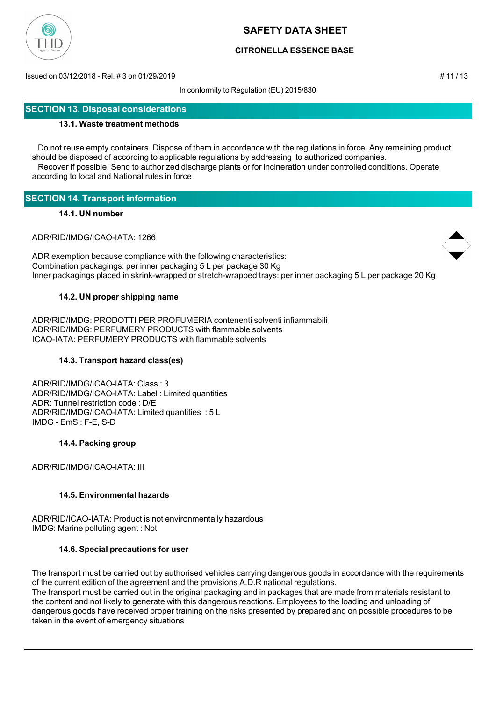

## **CITRONELLA ESSENCE BASE**

Issued on 03/12/2018 - Rel. # 3 on 01/29/2019 # 11 / 13

In conformity to Regulation (EU) 2015/830

## **SECTION 13. Disposal considerations**

#### **13.1. Waste treatment methods**

 Do not reuse empty containers. Dispose of them in accordance with the regulations in force. Any remaining product should be disposed of according to applicable regulations by addressing to authorized companies. Recover if possible. Send to authorized discharge plants or for incineration under controlled conditions. Operate according to local and National rules in force

## **SECTION 14. Transport information**

#### **14.1. UN number**

ADR/RID/IMDG/ICAO-IATA: 1266

ADR exemption because compliance with the following characteristics: Combination packagings: per inner packaging 5 L per package 30 Kg Inner packagings placed in skrink-wrapped or stretch-wrapped trays: per inner packaging 5 L per package 20 Kg

#### **14.2. UN proper shipping name**

ADR/RID/IMDG: PRODOTTI PER PROFUMERIA contenenti solventi infiammabili ADR/RID/IMDG: PERFUMERY PRODUCTS with flammable solvents ICAO-IATA: PERFUMERY PRODUCTS with flammable solvents

### **14.3. Transport hazard class(es)**

ADR/RID/IMDG/ICAO-IATA: Class : 3 ADR/RID/IMDG/ICAO-IATA: Label : Limited quantities ADR: Tunnel restriction code : D/E ADR/RID/IMDG/ICAO-IATA: Limited quantities : 5 L IMDG - EmS : F-E, S-D

### **14.4. Packing group**

ADR/RID/IMDG/ICAO-IATA: III

### **14.5. Environmental hazards**

ADR/RID/ICAO-IATA: Product is not environmentally hazardous IMDG: Marine polluting agent : Not

#### **14.6. Special precautions for user**

The transport must be carried out by authorised vehicles carrying dangerous goods in accordance with the requirements of the current edition of the agreement and the provisions A.D.R national regulations.

The transport must be carried out in the original packaging and in packages that are made from materials resistant to the content and not likely to generate with this dangerous reactions. Employees to the loading and unloading of dangerous goods have received proper training on the risks presented by prepared and on possible procedures to be taken in the event of emergency situations

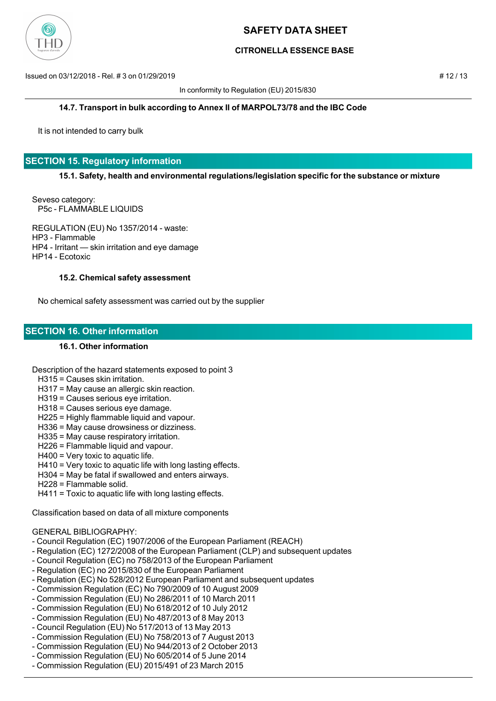

## **CITRONELLA ESSENCE BASE**

Issued on 03/12/2018 - Rel. # 3 on 01/29/2019 # 12 / 13

In conformity to Regulation (EU) 2015/830

#### **14.7. Transport in bulk according to Annex II of MARPOL73/78 and the IBC Code**

It is not intended to carry bulk

## **SECTION 15. Regulatory information**

**15.1. Safety, health and environmental regulations/legislation specific for the substance or mixture**

Seveso category: P5c - FLAMMABLE LIQUIDS

REGULATION (EU) No 1357/2014 - waste: HP3 - Flammable HP4 - Irritant — skin irritation and eye damage HP14 - Ecotoxic

#### **15.2. Chemical safety assessment**

No chemical safety assessment was carried out by the supplier

## **SECTION 16. Other information**

#### **16.1. Other information**

Description of the hazard statements exposed to point 3

- H315 = Causes skin irritation.
- H317 = May cause an allergic skin reaction.
- H319 = Causes serious eye irritation.
- H318 = Causes serious eye damage.
- H225 = Highly flammable liquid and vapour.
- H336 = May cause drowsiness or dizziness.
- H335 = May cause respiratory irritation.
- H226 = Flammable liquid and vapour.
- H400 = Very toxic to aquatic life.
- H410 = Very toxic to aquatic life with long lasting effects.
- H304 = May be fatal if swallowed and enters airways.
- H228 = Flammable solid.
- H411 = Toxic to aquatic life with long lasting effects.

Classification based on data of all mixture components

## GENERAL BIBLIOGRAPHY:

- Council Regulation (EC) 1907/2006 of the European Parliament (REACH)
- Regulation (EC) 1272/2008 of the European Parliament (CLP) and subsequent updates
- Council Regulation (EC) no 758/2013 of the European Parliament
- Regulation (EC) no 2015/830 of the European Parliament
- Regulation (EC) No 528/2012 European Parliament and subsequent updates
- Commission Regulation (EC) No 790/2009 of 10 August 2009
- Commission Regulation (EU) No 286/2011 of 10 March 2011
- Commission Regulation (EU) No 618/2012 of 10 July 2012
- Commission Regulation (EU) No 487/2013 of 8 May 2013
- Council Regulation (EU) No 517/2013 of 13 May 2013
- Commission Regulation (EU) No 758/2013 of 7 August 2013
- Commission Regulation (EU) No 944/2013 of 2 October 2013
- Commission Regulation (EU) No 605/2014 of 5 June 2014
- Commission Regulation (EU) 2015/491 of 23 March 2015